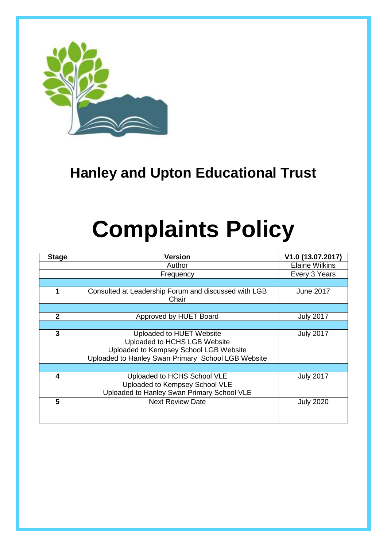

# **Hanley and Upton Educational Trust**

# **Complaints Policy**

| <b>Stage</b> | <b>Version</b>                                                                                                                                           | V1.0 (13.07.2017)     |
|--------------|----------------------------------------------------------------------------------------------------------------------------------------------------------|-----------------------|
|              | Author                                                                                                                                                   | <b>Elaine Wilkins</b> |
|              | Frequency                                                                                                                                                | Every 3 Years         |
|              |                                                                                                                                                          |                       |
| 1            | Consulted at Leadership Forum and discussed with LGB<br>Chair                                                                                            | June 2017             |
|              |                                                                                                                                                          |                       |
| $\mathbf{2}$ | Approved by HUET Board                                                                                                                                   | <b>July 2017</b>      |
|              |                                                                                                                                                          |                       |
| 3            | Uploaded to HUET Website<br>Uploaded to HCHS LGB Website<br>Uploaded to Kempsey School LGB Website<br>Uploaded to Hanley Swan Primary School LGB Website | <b>July 2017</b>      |
|              |                                                                                                                                                          |                       |
| 4            | Uploaded to HCHS School VLE<br>Uploaded to Kempsey School VLE<br>Uploaded to Hanley Swan Primary School VLE                                              | <b>July 2017</b>      |
| 5            | <b>Next Review Date</b>                                                                                                                                  | <b>July 2020</b>      |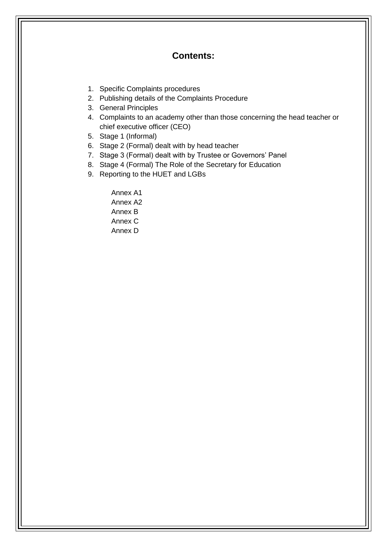### **Contents:**

- 1. Specific Complaints procedures
- 2. Publishing details of the Complaints Procedure
- 3. General Principles
- 4. Complaints to an academy other than those concerning the head teacher or chief executive officer (CEO)
- 5. Stage 1 (Informal)
- 6. Stage 2 (Formal) dealt with by head teacher
- 7. Stage 3 (Formal) dealt with by Trustee or Governors' Panel
- 8. Stage 4 (Formal) The Role of the Secretary for Education
- 9. Reporting to the HUET and LGBs

Annex A1 Annex A2 Annex B Annex C Annex D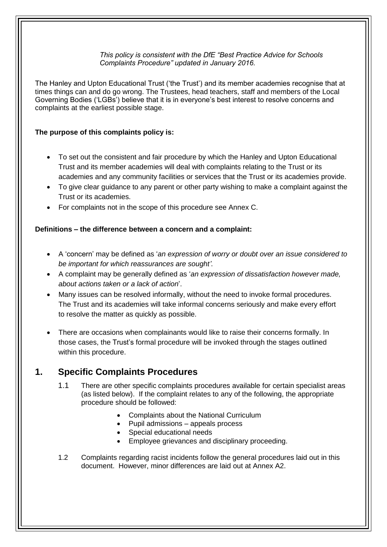#### *This policy is consistent with the DfE "Best Practice Advice for Schools Complaints Procedure" updated in January 2016.*

The Hanley and Upton Educational Trust ('the Trust') and its member academies recognise that at times things can and do go wrong. The Trustees, head teachers, staff and members of the Local Governing Bodies ('LGBs') believe that it is in everyone's best interest to resolve concerns and complaints at the earliest possible stage.

#### **The purpose of this complaints policy is:**

- To set out the consistent and fair procedure by which the Hanley and Upton Educational Trust and its member academies will deal with complaints relating to the Trust or its academies and any community facilities or services that the Trust or its academies provide.
- To give clear guidance to any parent or other party wishing to make a complaint against the Trust or its academies.
- For complaints not in the scope of this procedure see Annex C.

#### **Definitions – the difference between a concern and a complaint:**

- A 'concern' may be defined as '*an expression of worry or doubt over an issue considered to be important for which reassurances are sought'*.
- A complaint may be generally defined as '*an expression of dissatisfaction however made, about actions taken or a lack of action*'.
- Many issues can be resolved informally, without the need to invoke formal procedures. The Trust and its academies will take informal concerns seriously and make every effort to resolve the matter as quickly as possible.
- There are occasions when complainants would like to raise their concerns formally. In those cases, the Trust's formal procedure will be invoked through the stages outlined within this procedure.

### **1. Specific Complaints Procedures**

- 1.1 There are other specific complaints procedures available for certain specialist areas (as listed below). If the complaint relates to any of the following, the appropriate procedure should be followed:
	- Complaints about the National Curriculum
	- Pupil admissions appeals process
	- Special educational needs
	- Employee grievances and disciplinary proceeding.
- 1.2 Complaints regarding racist incidents follow the general procedures laid out in this document. However, minor differences are laid out at Annex A2.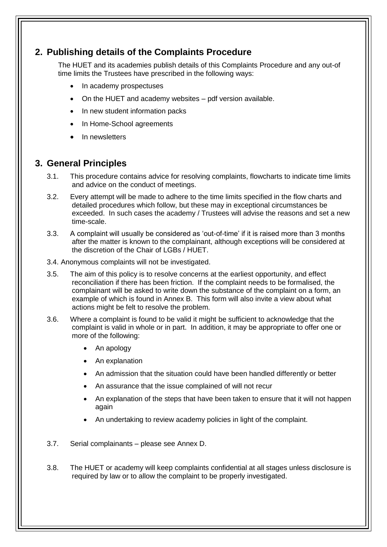# **2. Publishing details of the Complaints Procedure**

The HUET and its academies publish details of this Complaints Procedure and any out-of time limits the Trustees have prescribed in the following ways:

- In academy prospectuses
- On the HUET and academy websites pdf version available.
- In new student information packs
- In Home-School agreements
- In newsletters

### **3. General Principles**

- 3.1. This procedure contains advice for resolving complaints, flowcharts to indicate time limits and advice on the conduct of meetings.
- 3.2. Every attempt will be made to adhere to the time limits specified in the flow charts and detailed procedures which follow, but these may in exceptional circumstances be exceeded. In such cases the academy / Trustees will advise the reasons and set a new time-scale.
- 3.3. A complaint will usually be considered as 'out-of-time' if it is raised more than 3 months after the matter is known to the complainant, although exceptions will be considered at the discretion of the Chair of LGBs / HUET.
- 3.4. Anonymous complaints will not be investigated.
- 3.5. The aim of this policy is to resolve concerns at the earliest opportunity, and effect reconciliation if there has been friction. If the complaint needs to be formalised, the complainant will be asked to write down the substance of the complaint on a form, an example of which is found in Annex B. This form will also invite a view about what actions might be felt to resolve the problem.
- 3.6. Where a complaint is found to be valid it might be sufficient to acknowledge that the complaint is valid in whole or in part. In addition, it may be appropriate to offer one or more of the following:
	- An apology
	- An explanation
	- An admission that the situation could have been handled differently or better
	- An assurance that the issue complained of will not recur
	- An explanation of the steps that have been taken to ensure that it will not happen again
	- An undertaking to review academy policies in light of the complaint.
- 3.7. Serial complainants please see Annex D.
- 3.8. The HUET or academy will keep complaints confidential at all stages unless disclosure is required by law or to allow the complaint to be properly investigated.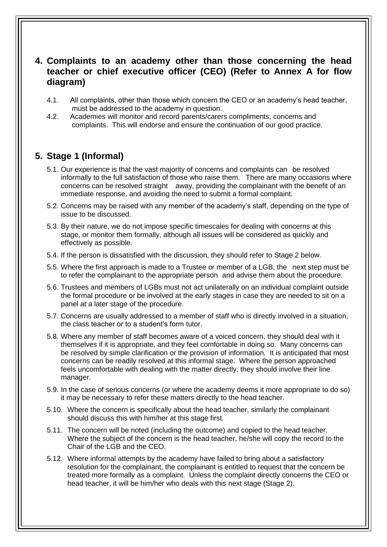## **4. Complaints to an academy other than those concerning the head teacher or chief executive officer (CEO) (Refer to Annex A for flow diagram)**

- 4.1. All complaints, other than those which concern the CEO or an academy's head teacher, must be addressed to the academy in question.
- 4.2. Academies will monitor and record parents/carers compliments, concerns and complaints. This will endorse and ensure the continuation of our good practice.

# **5. Stage 1 (Informal)**

- 5.1. Our experience is that the vast majority of concerns and complaints can be resolved informally to the full satisfaction of those who raise them. There are many occasions where concerns can be resolved straight away, providing the complainant with the benefit of an immediate response, and avoiding the need to submit a formal complaint.
- 5.2. Concerns may be raised with any member of the academy's staff, depending on the type of issue to be discussed.
- 5.3. By their nature, we do not impose specific timescales for dealing with concerns at this stage, or monitor them formally, although all issues will be considered as quickly and effectively as possible.
- 5.4. If the person is dissatisfied with the discussion, they should refer to Stage 2 below.
- 5.5. Where the first approach is made to a Trustee or member of a LGB, the next step must be to refer the complainant to the appropriate person and advise them about the procedure.
- 5.6. Trustees and members of LGBs must not act unilaterally on an individual complaint outside the formal procedure or be involved at the early stages in case they are needed to sit on a panel at a later stage of the procedure.
- 5.7. Concerns are usually addressed to a member of staff who is directly involved in a situation, the class teacher or to a student's form tutor.
- 5.8. Where any member of staff becomes aware of a voiced concern, they should deal with it themselves if it is appropriate, and they feel comfortable in doing so. Many concerns can be resolved by simple clarification or the provision of information. It is anticipated that most concerns can be readily resolved at this informal stage. Where the person approached feels uncomfortable with dealing with the matter directly, they should involve their line manager.
- 5.9. In the case of serious concerns (or where the academy deems it more appropriate to do so) it may be necessary to refer these matters directly to the head teacher.
- 5.10. Where the concern is specifically about the head teacher, similarly the complainant should discuss this with him/her at this stage first.
- 5.11. The concern will be noted (including the outcome) and copied to the head teacher. Where the subject of the concern is the head teacher, he/she will copy the record to the Chair of the LGB and the CEO.
- 5.12. Where informal attempts by the academy have failed to bring about a satisfactory resolution for the complainant, the complainant is entitled to request that the concern be treated more formally as a complaint. Unless the complaint directly concerns the CEO or head teacher, it will be him/her who deals with this next stage (Stage 2).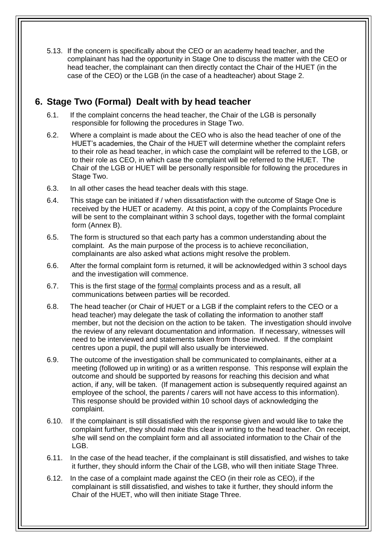5.13. If the concern is specifically about the CEO or an academy head teacher, and the complainant has had the opportunity in Stage One to discuss the matter with the CEO or head teacher, the complainant can then directly contact the Chair of the HUET (in the case of the CEO) or the LGB (in the case of a headteacher) about Stage 2.

# **6. Stage Two (Formal) Dealt with by head teacher**

- 6.1. If the complaint concerns the head teacher, the Chair of the LGB is personally responsible for following the procedures in Stage Two.
- 6.2. Where a complaint is made about the CEO who is also the head teacher of one of the HUET's academies, the Chair of the HUET will determine whether the complaint refers to their role as head teacher, in which case the complaint will be referred to the LGB, or to their role as CEO, in which case the complaint will be referred to the HUET. The Chair of the LGB or HUET will be personally responsible for following the procedures in Stage Two.
- 6.3. In all other cases the head teacher deals with this stage.
- 6.4. This stage can be initiated if / when dissatisfaction with the outcome of Stage One is received by the HUET or academy. At this point, a copy of the Complaints Procedure will be sent to the complainant within 3 school days, together with the formal complaint form (Annex B).
- 6.5. The form is structured so that each party has a common understanding about the complaint. As the main purpose of the process is to achieve reconciliation, complainants are also asked what actions might resolve the problem.
- 6.6. After the formal complaint form is returned, it will be acknowledged within 3 school days and the investigation will commence.
- 6.7. This is the first stage of the formal complaints process and as a result, all communications between parties will be recorded.
- 6.8. The head teacher (or Chair of HUET or a LGB if the complaint refers to the CEO or a head teacher) may delegate the task of collating the information to another staff member, but not the decision on the action to be taken. The investigation should involve the review of any relevant documentation and information. If necessary, witnesses will need to be interviewed and statements taken from those involved. If the complaint centres upon a pupil, the pupil will also usually be interviewed.
- 6.9. The outcome of the investigation shall be communicated to complainants, either at a meeting (followed up in writing) or as a written response. This response will explain the outcome and should be supported by reasons for reaching this decision and what action, if any, will be taken. (If management action is subsequently required against an employee of the school, the parents / carers will not have access to this information). This response should be provided within 10 school days of acknowledging the complaint.
- 6.10. If the complainant is still dissatisfied with the response given and would like to take the complaint further, they should make this clear in writing to the head teacher. On receipt, s/he will send on the complaint form and all associated information to the Chair of the LGB.
- 6.11. In the case of the head teacher, if the complainant is still dissatisfied, and wishes to take it further, they should inform the Chair of the LGB, who will then initiate Stage Three.
- 6.12. In the case of a complaint made against the CEO (in their role as CEO), if the complainant is still dissatisfied, and wishes to take it further, they should inform the Chair of the HUET, who will then initiate Stage Three.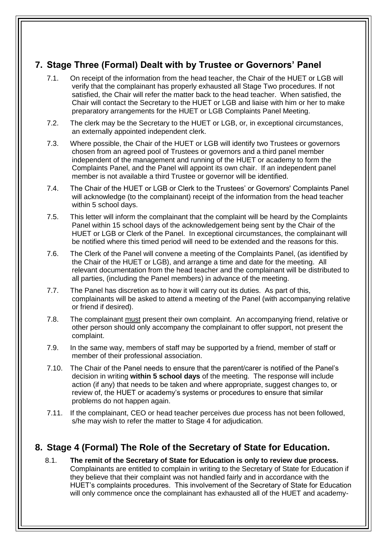# **7. Stage Three (Formal) Dealt with by Trustee or Governors' Panel**

- 7.1. On receipt of the information from the head teacher, the Chair of the HUET or LGB will verify that the complainant has properly exhausted all Stage Two procedures. If not satisfied, the Chair will refer the matter back to the head teacher. When satisfied, the Chair will contact the Secretary to the HUET or LGB and liaise with him or her to make preparatory arrangements for the HUET or LGB Complaints Panel Meeting.
- 7.2. The clerk may be the Secretary to the HUET or LGB, or, in exceptional circumstances, an externally appointed independent clerk.
- 7.3. Where possible, the Chair of the HUET or LGB will identify two Trustees or governors chosen from an agreed pool of Trustees or governors and a third panel member independent of the management and running of the HUET or academy to form the Complaints Panel, and the Panel will appoint its own chair. If an independent panel member is not available a third Trustee or governor will be identified.
- 7.4. The Chair of the HUET or LGB or Clerk to the Trustees' or Governors' Complaints Panel will acknowledge (to the complainant) receipt of the information from the head teacher within 5 school days.
- 7.5. This letter will inform the complainant that the complaint will be heard by the Complaints Panel within 15 school days of the acknowledgement being sent by the Chair of the HUET or LGB or Clerk of the Panel. In exceptional circumstances, the complainant will be notified where this timed period will need to be extended and the reasons for this.
- 7.6. The Clerk of the Panel will convene a meeting of the Complaints Panel, (as identified by the Chair of the HUET or LGB), and arrange a time and date for the meeting. All relevant documentation from the head teacher and the complainant will be distributed to all parties, (including the Panel members) in advance of the meeting.
- 7.7. The Panel has discretion as to how it will carry out its duties. As part of this, complainants will be asked to attend a meeting of the Panel (with accompanying relative or friend if desired).
- 7.8. The complainant must present their own complaint. An accompanying friend, relative or other person should only accompany the complainant to offer support, not present the complaint.
- 7.9. In the same way, members of staff may be supported by a friend, member of staff or member of their professional association.
- 7.10. The Chair of the Panel needs to ensure that the parent/carer is notified of the Panel's decision in writing **within 5 school days** of the meeting. The response will include action (if any) that needs to be taken and where appropriate, suggest changes to, or review of, the HUET or academy's systems or procedures to ensure that similar problems do not happen again.
- 7.11. If the complainant, CEO or head teacher perceives due process has not been followed, s/he may wish to refer the matter to Stage 4 for adjudication.

# **8. Stage 4 (Formal) The Role of the Secretary of State for Education.**

8.1. **The remit of the Secretary of State for Education is only to review due process.**  Complainants are entitled to complain in writing to the Secretary of State for Education if they believe that their complaint was not handled fairly and in accordance with the HUET's complaints procedures. This involvement of the Secretary of State for Education will only commence once the complainant has exhausted all of the HUET and academy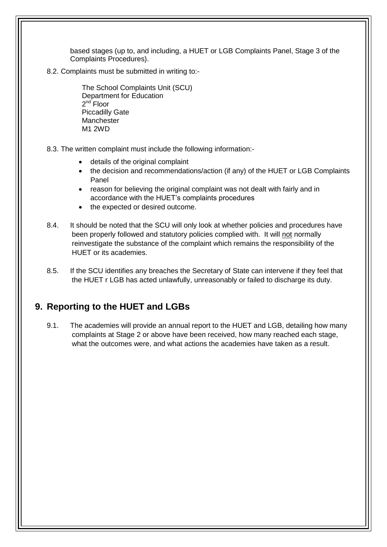based stages (up to, and including, a HUET or LGB Complaints Panel, Stage 3 of the Complaints Procedures).

8.2. Complaints must be submitted in writing to:-

The School Complaints Unit (SCU) Department for Education 2<sup>nd</sup> Floor Piccadilly Gate **Manchester** M1 2WD

- 8.3. The written complaint must include the following information:
	- details of the original complaint
	- the decision and recommendations/action (if any) of the HUET or LGB Complaints Panel
	- reason for believing the original complaint was not dealt with fairly and in accordance with the HUET's complaints procedures
	- the expected or desired outcome.
- 8.4. It should be noted that the SCU will only look at whether policies and procedures have been properly followed and statutory policies complied with. It will not normally reinvestigate the substance of the complaint which remains the responsibility of the HUET or its academies.
- 8.5. If the SCU identifies any breaches the Secretary of State can intervene if they feel that the HUET r LGB has acted unlawfully, unreasonably or failed to discharge its duty.

### **9. Reporting to the HUET and LGBs**

9.1. The academies will provide an annual report to the HUET and LGB, detailing how many complaints at Stage 2 or above have been received, how many reached each stage, what the outcomes were, and what actions the academies have taken as a result.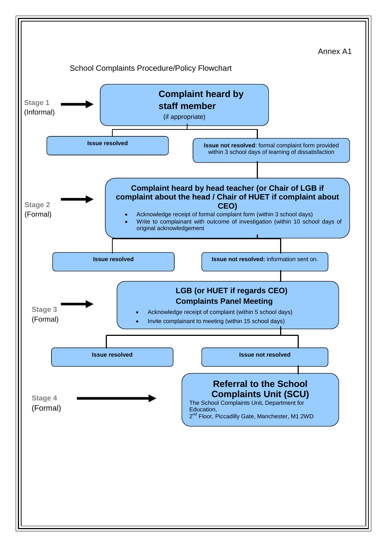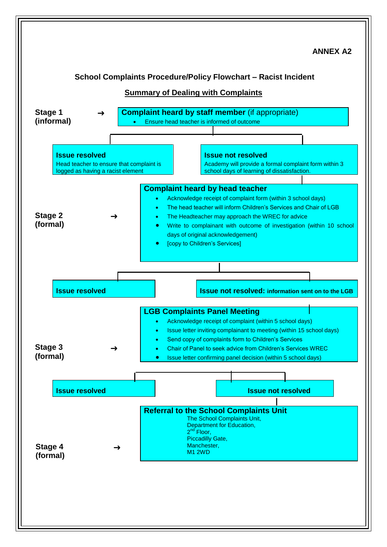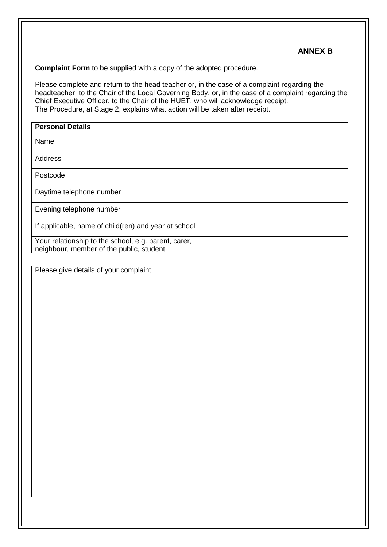#### **ANNEX B**

**Complaint Form** to be supplied with a copy of the adopted procedure.

Please complete and return to the head teacher or, in the case of a complaint regarding the headteacher, to the Chair of the Local Governing Body, or, in the case of a complaint regarding the Chief Executive Officer, to the Chair of the HUET, who will acknowledge receipt. The Procedure, at Stage 2, explains what action will be taken after receipt.

| <b>Personal Details</b>                                                                          |  |  |
|--------------------------------------------------------------------------------------------------|--|--|
| Name                                                                                             |  |  |
| Address                                                                                          |  |  |
| Postcode                                                                                         |  |  |
| Daytime telephone number                                                                         |  |  |
| Evening telephone number                                                                         |  |  |
| If applicable, name of child(ren) and year at school                                             |  |  |
| Your relationship to the school, e.g. parent, carer,<br>neighbour, member of the public, student |  |  |

Please give details of your complaint: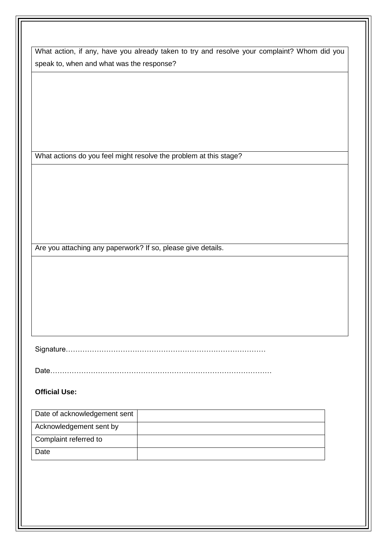What action, if any, have you already taken to try and resolve your complaint? Whom did you speak to, when and what was the response?

What actions do you feel might resolve the problem at this stage?

Are you attaching any paperwork? If so, please give details.

Signature…………………………………………………………………………

Date…………………………………………………………………………………

#### **Official Use:**

| Date of acknowledgement sent |  |
|------------------------------|--|
| Acknowledgement sent by      |  |
| Complaint referred to        |  |
| Date                         |  |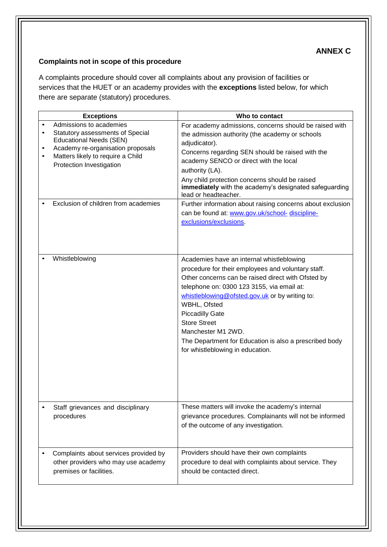# **ANNEX C**

#### **Complaints not in scope of this procedure**

A complaints procedure should cover all complaints about any provision of facilities or services that the HUET or an academy provides with the **exceptions** listed below, for which there are separate (statutory) procedures.

| <b>Exceptions</b>                                                                                                                                                                                   | Who to contact                                                                                                                                                                                                                                                                                                                                                                                                                             |
|-----------------------------------------------------------------------------------------------------------------------------------------------------------------------------------------------------|--------------------------------------------------------------------------------------------------------------------------------------------------------------------------------------------------------------------------------------------------------------------------------------------------------------------------------------------------------------------------------------------------------------------------------------------|
| Admissions to academies<br>Statutory assessments of Special<br><b>Educational Needs (SEN)</b><br>Academy re-organisation proposals<br>Matters likely to require a Child<br>Protection Investigation | For academy admissions, concerns should be raised with<br>the admission authority (the academy or schools<br>adjudicator).<br>Concerns regarding SEN should be raised with the<br>academy SENCO or direct with the local<br>authority (LA).<br>Any child protection concerns should be raised<br>immediately with the academy's designated safeguarding<br>lead or headteacher.                                                            |
| Exclusion of children from academies                                                                                                                                                                | Further information about raising concerns about exclusion<br>can be found at: www.gov.uk/school- discipline-<br>exclusions/exclusions                                                                                                                                                                                                                                                                                                     |
| Whistleblowing                                                                                                                                                                                      | Academies have an internal whistleblowing<br>procedure for their employees and voluntary staff.<br>Other concerns can be raised direct with Ofsted by<br>telephone on: 0300 123 3155, via email at:<br>whistleblowing@ofsted.gov.uk or by writing to:<br>WBHL, Ofsted<br><b>Piccadilly Gate</b><br><b>Store Street</b><br>Manchester M1 2WD.<br>The Department for Education is also a prescribed body<br>for whistleblowing in education. |
| Staff grievances and disciplinary<br>procedures                                                                                                                                                     | These matters will invoke the academy's internal<br>grievance procedures. Complainants will not be informed<br>of the outcome of any investigation.                                                                                                                                                                                                                                                                                        |
| Complaints about services provided by<br>other providers who may use academy<br>premises or facilities.                                                                                             | Providers should have their own complaints<br>procedure to deal with complaints about service. They<br>should be contacted direct.                                                                                                                                                                                                                                                                                                         |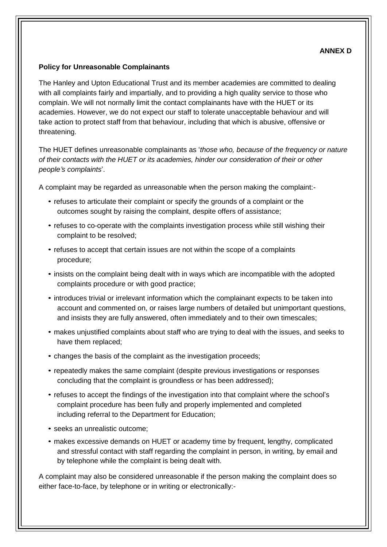#### **ANNEX D**

#### **Policy for Unreasonable Complainants**

The Hanley and Upton Educational Trust and its member academies are committed to dealing with all complaints fairly and impartially, and to providing a high quality service to those who complain. We will not normally limit the contact complainants have with the HUET or its academies. However, we do not expect our staff to tolerate unacceptable behaviour and will take action to protect staff from that behaviour, including that which is abusive, offensive or threatening.

The HUET defines unreasonable complainants as '*those who, because of the frequency or nature of their contacts with the HUET or its academies, hinder our consideration of their or other people's complaints*'.

A complaint may be regarded as unreasonable when the person making the complaint:-

- refuses to articulate their complaint or specify the grounds of a complaint or the outcomes sought by raising the complaint, despite offers of assistance;
- refuses to co-operate with the complaints investigation process while still wishing their complaint to be resolved;
- refuses to accept that certain issues are not within the scope of a complaints procedure;
- insists on the complaint being dealt with in ways which are incompatible with the adopted complaints procedure or with good practice;
- introduces trivial or irrelevant information which the complainant expects to be taken into account and commented on, or raises large numbers of detailed but unimportant questions, and insists they are fully answered, often immediately and to their own timescales;
- makes unjustified complaints about staff who are trying to deal with the issues, and seeks to have them replaced;
- changes the basis of the complaint as the investigation proceeds;
- repeatedly makes the same complaint (despite previous investigations or responses concluding that the complaint is groundless or has been addressed);
- refuses to accept the findings of the investigation into that complaint where the school's complaint procedure has been fully and properly implemented and completed including referral to the Department for Education;
- seeks an unrealistic outcome;
- makes excessive demands on HUET or academy time by frequent, lengthy, complicated and stressful contact with staff regarding the complaint in person, in writing, by email and by telephone while the complaint is being dealt with.

A complaint may also be considered unreasonable if the person making the complaint does so either face-to-face, by telephone or in writing or electronically:-